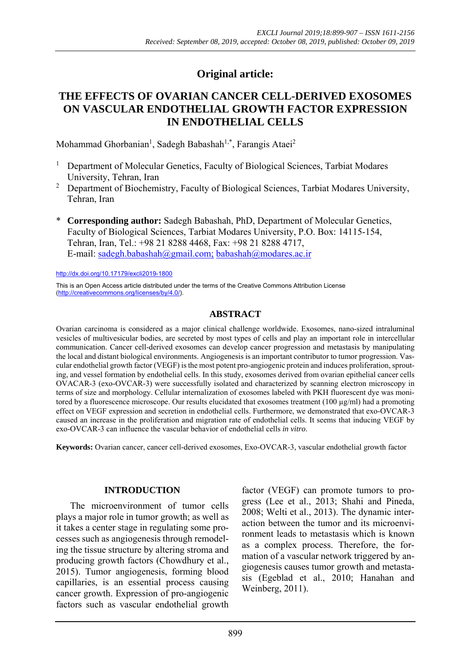# **Original article:**

## **THE EFFECTS OF OVARIAN CANCER CELL-DERIVED EXOSOMES ON VASCULAR ENDOTHELIAL GROWTH FACTOR EXPRESSION IN ENDOTHELIAL CELLS**

Mohammad Ghorbanian<sup>1</sup>, Sadegh Babashah<sup>1,\*</sup>, Farangis Ataei<sup>2</sup>

- <sup>1</sup> Department of Molecular Genetics, Faculty of Biological Sciences, Tarbiat Modares University, Tehran, Iran
- <sup>2</sup> Department of Biochemistry, Faculty of Biological Sciences, Tarbiat Modares University, Tehran, Iran
- \* **Corresponding author:** Sadegh Babashah, PhD, Department of Molecular Genetics, Faculty of Biological Sciences, Tarbiat Modares University, P.O. Box: 14115-154, Tehran, Iran, Tel.: +98 21 8288 4468, Fax: +98 21 8288 4717, E-mail: sadegh.babashah@gmail.com; babashah@modares.ac.ir

http://dx.doi.org/10.17179/excli2019-1800

This is an Open Access article distributed under the terms of the Creative Commons Attribution License (http://creativecommons.org/licenses/by/4.0/).

### **ABSTRACT**

Ovarian carcinoma is considered as a major clinical challenge worldwide. Exosomes, nano-sized intraluminal vesicles of multivesicular bodies, are secreted by most types of cells and play an important role in intercellular communication. Cancer cell-derived exosomes can develop cancer progression and metastasis by manipulating the local and distant biological environments. Angiogenesis is an important contributor to tumor progression. Vascular endothelial growth factor (VEGF) is the most potent pro-angiogenic protein and induces proliferation, sprouting, and vessel formation by endothelial cells. In this study, exosomes derived from ovarian epithelial cancer cells OVACAR-3 (exo-OVCAR-3) were successfully isolated and characterized by scanning electron microscopy in terms of size and morphology. Cellular internalization of exosomes labeled with PKH fluorescent dye was monitored by a fluorescence microscope. Our results elucidated that exosomes treatment (100 µg/ml) had a promoting effect on VEGF expression and secretion in endothelial cells. Furthermore, we demonstrated that exo-OVCAR-3 caused an increase in the proliferation and migration rate of endothelial cells. It seems that inducing VEGF by exo-OVCAR-3 can influence the vascular behavior of endothelial cells *in vitro*.

**Keywords:** Ovarian cancer, cancer cell-derived exosomes, Exo-OVCAR-3, vascular endothelial growth factor

#### **INTRODUCTION**

The microenvironment of tumor cells plays a major role in tumor growth; as well as it takes a center stage in regulating some processes such as angiogenesis through remodeling the tissue structure by altering stroma and producing growth factors (Chowdhury et al., 2015). Tumor angiogenesis, forming blood capillaries, is an essential process causing cancer growth. Expression of pro-angiogenic factors such as vascular endothelial growth factor (VEGF) can promote tumors to progress (Lee et al., 2013; Shahi and Pineda, 2008; Welti et al., 2013). The dynamic interaction between the tumor and its microenvironment leads to metastasis which is known as a complex process. Therefore, the formation of a vascular network triggered by angiogenesis causes tumor growth and metastasis (Egeblad et al., 2010; Hanahan and Weinberg, 2011).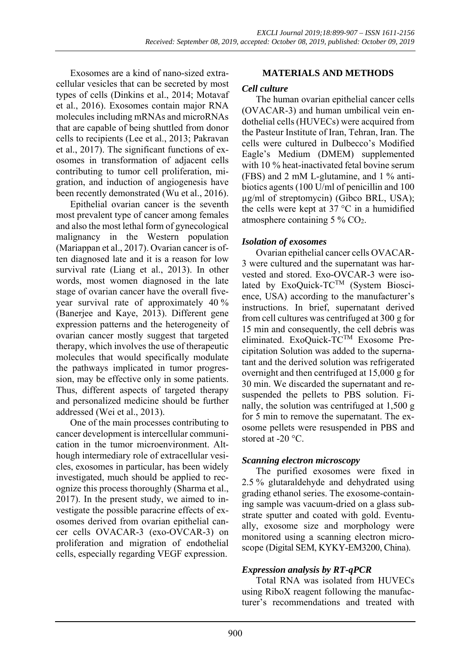Exosomes are a kind of nano-sized extracellular vesicles that can be secreted by most types of cells (Dinkins et al., 2014; Motavaf et al., 2016). Exosomes contain major RNA molecules including mRNAs and microRNAs that are capable of being shuttled from donor cells to recipients (Lee et al., 2013; Pakravan et al., 2017). The significant functions of exosomes in transformation of adjacent cells contributing to tumor cell proliferation, migration, and induction of angiogenesis have been recently demonstrated (Wu et al., 2016).

Epithelial ovarian cancer is the seventh most prevalent type of cancer among females and also the most lethal form of gynecological malignancy in the Western population (Mariappan et al., 2017). Ovarian cancer is often diagnosed late and it is a reason for low survival rate (Liang et al., 2013). In other words, most women diagnosed in the late stage of ovarian cancer have the overall fiveyear survival rate of approximately 40 % (Banerjee and Kaye, 2013). Different gene expression patterns and the heterogeneity of ovarian cancer mostly suggest that targeted therapy, which involves the use of therapeutic molecules that would specifically modulate the pathways implicated in tumor progression, may be effective only in some patients. Thus, different aspects of targeted therapy and personalized medicine should be further addressed (Wei et al., 2013).

One of the main processes contributing to cancer development is intercellular communication in the tumor microenvironment. Although intermediary role of extracellular vesicles, exosomes in particular, has been widely investigated, much should be applied to recognize this process thoroughly (Sharma et al., 2017). In the present study, we aimed to investigate the possible paracrine effects of exosomes derived from ovarian epithelial cancer cells OVACAR-3 (exo-OVCAR-3) on proliferation and migration of endothelial cells, especially regarding VEGF expression.

### **MATERIALS AND METHODS**

#### *Cell culture*

The human ovarian epithelial cancer cells (OVACAR-3) and human umbilical vein endothelial cells (HUVECs) were acquired from the Pasteur Institute of Iran, Tehran, Iran. The cells were cultured in Dulbecco's Modified Eagle's Medium (DMEM) supplemented with 10 % heat-inactivated fetal bovine serum (FBS) and 2 mM L-glutamine, and 1 % antibiotics agents (100 U/ml of penicillin and 100 µg/ml of streptomycin) (Gibco BRL, USA); the cells were kept at 37 °C in a humidified atmosphere containing 5 % CO2.

### *Isolation of exosomes*

Ovarian epithelial cancer cells OVACAR-3 were cultured and the supernatant was harvested and stored. Exo-OVCAR-3 were isolated by ExoQuick-TC<sup>TM</sup> (System Bioscience, USA) according to the manufacturer's instructions. In brief, supernatant derived from cell cultures was centrifuged at 300 g for 15 min and consequently, the cell debris was eliminated. ExoQuick-TCTM Exosome Precipitation Solution was added to the supernatant and the derived solution was refrigerated overnight and then centrifuged at 15,000 g for 30 min. We discarded the supernatant and resuspended the pellets to PBS solution. Finally, the solution was centrifuged at 1,500 g for 5 min to remove the supernatant. The exosome pellets were resuspended in PBS and stored at -20 °C.

### *Scanning electron microscopy*

The purified exosomes were fixed in 2.5 % glutaraldehyde and dehydrated using grading ethanol series. The exosome-containing sample was vacuum-dried on a glass substrate sputter and coated with gold. Eventually, exosome size and morphology were monitored using a scanning electron microscope (Digital SEM, KYKY-EM3200, China).

### *Expression analysis by RT-qPCR*

Total RNA was isolated from HUVECs using RiboX reagent following the manufacturer's recommendations and treated with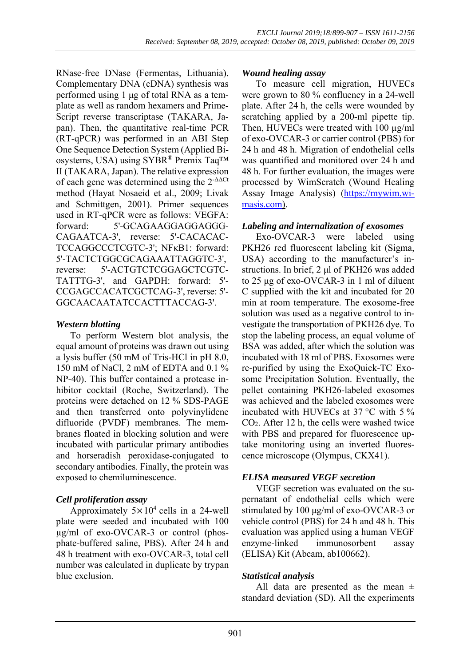RNase-free DNase (Fermentas, Lithuania). Complementary DNA (cDNA) synthesis was performed using 1 μg of total RNA as a template as well as random hexamers and Prime-Script reverse transcriptase (TAKARA, Japan). Then, the quantitative real-time PCR (RT-qPCR) was performed in an ABI Step One Sequence Detection System (Applied Biosystems, USA) using SYBR® Premix Taq™ II (TAKARA, Japan). The relative expression of each gene was determined using the  $2^{-\Delta\Delta Ct}$ method (Hayat Nosaeid et al., 2009; Livak and Schmittgen, 2001). Primer sequences used in RT-qPCR were as follows: VEGFA: forward: 5'-GCAGAAGGAGGAGGG-CAGAATCA-3', reverse: 5'-CACACAC-TCCAGGCCCTCGTC-3'; NFκB1: forward: 5'-TACTCTGGCGCAGAAATTAGGTC-3', reverse: 5'-ACTGTCTCGGAGCTCGTC-TATTTG-3', and GAPDH: forward: 5'- CCGAGCCACATCGCTCAG-3', reverse: 5'- GGCAACAATATCCACTTTACCAG-3'.

### *Western blotting*

To perform Western blot analysis, the equal amount of proteins was drawn out using a lysis buffer (50 mM of Tris-HCl in pH 8.0, 150 mM of NaCl, 2 mM of EDTA and 0.1 % NP-40). This buffer contained a protease inhibitor cocktail (Roche, Switzerland). The proteins were detached on 12 % SDS-PAGE and then transferred onto polyvinylidene difluoride (PVDF) membranes. The membranes floated in blocking solution and were incubated with particular primary antibodies and horseradish peroxidase-conjugated to secondary antibodies. Finally, the protein was exposed to chemiluminescence.

### *Cell proliferation assay*

Approximately  $5 \times 10^4$  cells in a 24-well plate were seeded and incubated with 100 µg/ml of exo-OVCAR-3 or control (phosphate-buffered saline, PBS). After 24 h and 48 h treatment with exo-OVCAR-3, total cell number was calculated in duplicate by trypan blue exclusion.

#### *Wound healing assay*

To measure cell migration, HUVECs were grown to 80 % confluency in a 24-well plate. After 24 h, the cells were wounded by scratching applied by a 200-ml pipette tip. Then, HUVECs were treated with 100  $\mu$ g/ml of exo-OVCAR-3 or carrier control (PBS) for 24 h and 48 h. Migration of endothelial cells was quantified and monitored over 24 h and 48 h. For further evaluation, the images were processed by WimScratch (Wound Healing Assay Image Analysis) (https://mywim.wimasis.com).

### *Labeling and internalization of exosomes*

Exo-OVCAR-3 were labeled using PKH26 red fluorescent labeling kit (Sigma, USA) according to the manufacturer's instructions. In brief, 2 μl of PKH26 was added to 25 μg of exo-OVCAR-3 in 1 ml of diluent C supplied with the kit and incubated for 20 min at room temperature. The exosome-free solution was used as a negative control to investigate the transportation of PKH26 dye. To stop the labeling process, an equal volume of BSA was added, after which the solution was incubated with 18 ml of PBS. Exosomes were re-purified by using the ExoQuick-TC Exosome Precipitation Solution. Eventually, the pellet containing PKH26-labeled exosomes was achieved and the labeled exosomes were incubated with HUVECs at 37 °C with 5 % CO2. After 12 h, the cells were washed twice with PBS and prepared for fluorescence uptake monitoring using an inverted fluorescence microscope (Olympus, CKX41).

### *ELISA measured VEGF secretion*

VEGF secretion was evaluated on the supernatant of endothelial cells which were stimulated by 100 μg/ml of exo-OVCAR-3 or vehicle control (PBS) for 24 h and 48 h. This evaluation was applied using a human VEGF enzyme-linked immunosorbent assay (ELISA) Kit (Abcam, ab100662).

### *Statistical analysis*

All data are presented as the mean  $\pm$ standard deviation (SD). All the experiments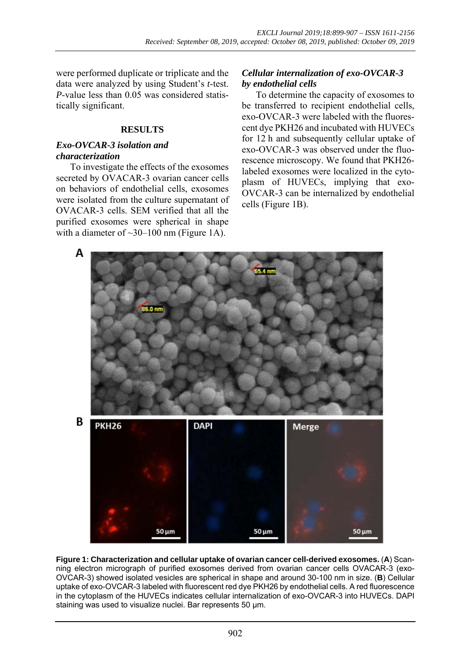were performed duplicate or triplicate and the data were analyzed by using Student's *t*-test. *P*-value less than 0.05 was considered statistically significant.

#### **RESULTS**

#### *Exo-OVCAR-3 isolation and characterization*

To investigate the effects of the exosomes secreted by OVACAR-3 ovarian cancer cells on behaviors of endothelial cells, exosomes were isolated from the culture supernatant of OVACAR-3 cells. SEM verified that all the purified exosomes were spherical in shape with a diameter of  $\sim$ 30–100 nm (Figure 1A).

### *Cellular internalization of exo-OVCAR-3 by endothelial cells*

To determine the capacity of exosomes to be transferred to recipient endothelial cells, exo-OVCAR-3 were labeled with the fluorescent dye PKH26 and incubated with HUVECs for 12 h and subsequently cellular uptake of exo-OVCAR-3 was observed under the fluorescence microscopy. We found that PKH26 labeled exosomes were localized in the cytoplasm of HUVECs, implying that exo-OVCAR-3 can be internalized by endothelial cells (Figure 1B).



**Figure 1: Characterization and cellular uptake of ovarian cancer cell-derived exosomes.** (**A**) Scanning electron micrograph of purified exosomes derived from ovarian cancer cells OVACAR-3 (exo-OVCAR-3) showed isolated vesicles are spherical in shape and around 30-100 nm in size. (**B**) Cellular uptake of exo-OVCAR-3 labeled with fluorescent red dye PKH26 by endothelial cells. A red fluorescence in the cytoplasm of the HUVECs indicates cellular internalization of exo-OVCAR-3 into HUVECs. DAPI staining was used to visualize nuclei. Bar represents 50 um.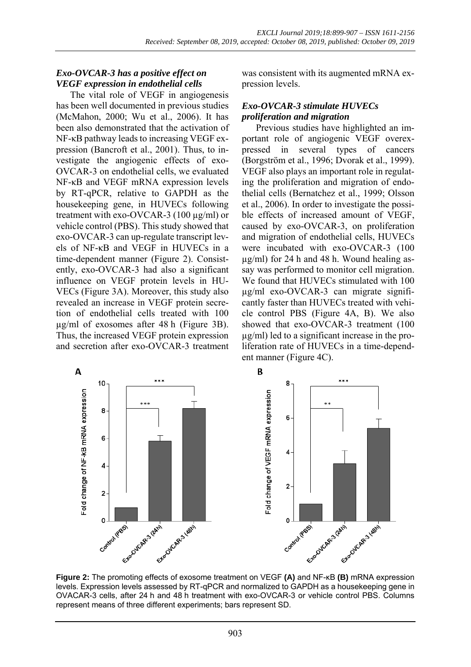### *Exo-OVCAR-3 has a positive effect on VEGF expression in endothelial cells*

The vital role of VEGF in angiogenesis has been well documented in previous studies (McMahon, 2000; Wu et al., 2006). It has been also demonstrated that the activation of NF-κB pathway leads to increasing VEGF expression (Bancroft et al., 2001). Thus, to investigate the angiogenic effects of exo-OVCAR-3 on endothelial cells, we evaluated NF-κB and VEGF mRNA expression levels by RT-qPCR, relative to GAPDH as the housekeeping gene, in HUVECs following treatment with exo-OVCAR-3 (100 µg/ml) or vehicle control (PBS). This study showed that exo-OVCAR-3 can up-regulate transcript levels of NF-κB and VEGF in HUVECs in a time-dependent manner (Figure 2). Consistently, exo-OVCAR-3 had also a significant influence on VEGF protein levels in HU-VECs (Figure 3A). Moreover, this study also revealed an increase in VEGF protein secretion of endothelial cells treated with 100 µg/ml of exosomes after 48 h (Figure 3B). Thus, the increased VEGF protein expression and secretion after exo-OVCAR-3 treatment was consistent with its augmented mRNA expression levels.

#### *Exo-OVCAR-3 stimulate HUVECs proliferation and migration*

Previous studies have highlighted an important role of angiogenic VEGF overexpressed in several types of cancers (Borgström et al., 1996; Dvorak et al., 1999). VEGF also plays an important role in regulating the proliferation and migration of endothelial cells (Bernatchez et al., 1999; Olsson et al., 2006). In order to investigate the possible effects of increased amount of VEGF, caused by exo-OVCAR-3, on proliferation and migration of endothelial cells, HUVECs were incubated with exo-OVCAR-3 (100 µg/ml) for 24 h and 48 h. Wound healing assay was performed to monitor cell migration. We found that HUVECs stimulated with 100 µg/ml exo-OVCAR-3 can migrate significantly faster than HUVECs treated with vehicle control PBS (Figure 4A, B). We also showed that exo-OVCAR-3 treatment (100 µg/ml) led to a significant increase in the proliferation rate of HUVECs in a time-dependent manner (Figure 4C).



**Figure 2:** The promoting effects of exosome treatment on VEGF **(A)** and NF-κB **(B)** mRNA expression levels. Expression levels assessed by RT-qPCR and normalized to GAPDH as a housekeeping gene in OVACAR-3 cells, after 24 h and 48 h treatment with exo-OVCAR-3 or vehicle control PBS. Columns represent means of three different experiments; bars represent SD.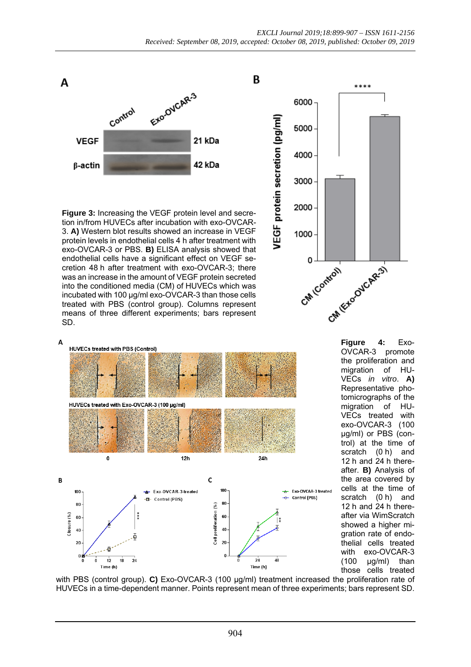B



**Figure 3:** Increasing the VEGF protein level and secretion in/from HUVECs after incubation with exo-OVCAR-3. **A)** Western blot results showed an increase in VEGF protein levels in endothelial cells 4 h after treatment with exo-OVCAR-3 or PBS. **B)** ELISA analysis showed that endothelial cells have a significant effect on VEGF secretion 48 h after treatment with exo-OVCAR-3; there was an increase in the amount of VEGF protein secreted into the conditioned media (CM) of HUVECs which was incubated with 100 µg/ml exo-OVCAR-3 than those cells treated with PBS (control group). Columns represent means of three different experiments; bars represent SD.

A





OVCAR-3 the proliferation and migration of HU-VECs *in vitro*. **A)** Representative photomicrographs of the migration of HU-VECs treated with exo-OVCAR-3 (100 µg/ml) or PBS (control) at the time of scratch (0 h) and 12 h and 24 h thereafter. **B)** Analysis of the area covered by cells at the time of scratch (0 h) and 12 h and 24 h thereafter via WimScratch showed a higher migration rate of endothelial cells treated with exo-OVCAR-3  $(100 \quad \mu g/ml)$  than those cells treated

with PBS (control group). **C)** Exo-OVCAR-3 (100 µg/ml) treatment increased the proliferation rate of HUVECs in a time-dependent manner. Points represent mean of three experiments; bars represent SD.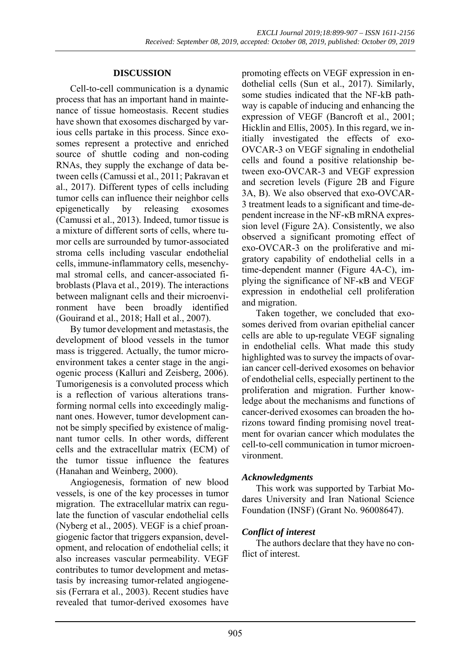#### **DISCUSSION**

Cell-to-cell communication is a dynamic process that has an important hand in maintenance of tissue homeostasis. Recent studies have shown that exosomes discharged by various cells partake in this process. Since exosomes represent a protective and enriched source of shuttle coding and non-coding RNAs, they supply the exchange of data between cells (Camussi et al., 2011; Pakravan et al., 2017). Different types of cells including tumor cells can influence their neighbor cells epigenetically by releasing exosomes (Camussi et al., 2013). Indeed, tumor tissue is a mixture of different sorts of cells, where tumor cells are surrounded by tumor-associated stroma cells including vascular endothelial cells, immune-inflammatory cells, mesenchymal stromal cells, and cancer-associated fibroblasts (Plava et al., 2019). The interactions between malignant cells and their microenvironment have been broadly identified (Gouirand et al., 2018; Hall et al., 2007).

By tumor development and metastasis, the development of blood vessels in the tumor mass is triggered. Actually, the tumor microenvironment takes a center stage in the angiogenic process (Kalluri and Zeisberg, 2006). Tumorigenesis is a convoluted process which is a reflection of various alterations transforming normal cells into exceedingly malignant ones. However, tumor development cannot be simply specified by existence of malignant tumor cells. In other words, different cells and the extracellular matrix (ECM) of the tumor tissue influence the features (Hanahan and Weinberg, 2000).

Angiogenesis, formation of new blood vessels, is one of the key processes in tumor migration. The extracellular matrix can regulate the function of vascular endothelial cells (Nyberg et al., 2005). VEGF is a chief proangiogenic factor that triggers expansion, development, and relocation of endothelial cells; it also increases vascular permeability. VEGF contributes to tumor development and metastasis by increasing tumor-related angiogenesis (Ferrara et al., 2003). Recent studies have revealed that tumor-derived exosomes have

promoting effects on VEGF expression in endothelial cells (Sun et al., 2017). Similarly, some studies indicated that the NF-kB pathway is capable of inducing and enhancing the expression of VEGF (Bancroft et al., 2001; Hicklin and Ellis, 2005). In this regard, we initially investigated the effects of exo-OVCAR-3 on VEGF signaling in endothelial cells and found a positive relationship between exo-OVCAR-3 and VEGF expression and secretion levels (Figure 2B and Figure 3A, B). We also observed that exo-OVCAR-3 treatment leads to a significant and time-dependent increase in the NF-κB mRNA expression level (Figure 2A). Consistently, we also observed a significant promoting effect of exo-OVCAR-3 on the proliferative and migratory capability of endothelial cells in a time-dependent manner (Figure 4A-C), implying the significance of NF-κB and VEGF expression in endothelial cell proliferation and migration.

Taken together, we concluded that exosomes derived from ovarian epithelial cancer cells are able to up-regulate VEGF signaling in endothelial cells. What made this study highlighted was to survey the impacts of ovarian cancer cell-derived exosomes on behavior of endothelial cells, especially pertinent to the proliferation and migration. Further knowledge about the mechanisms and functions of cancer-derived exosomes can broaden the horizons toward finding promising novel treatment for ovarian cancer which modulates the cell-to-cell communication in tumor microenvironment.

#### *Acknowledgments*

This work was supported by Tarbiat Modares University and Iran National Science Foundation (INSF) (Grant No. 96008647).

### *Conflict of interest*

The authors declare that they have no conflict of interest.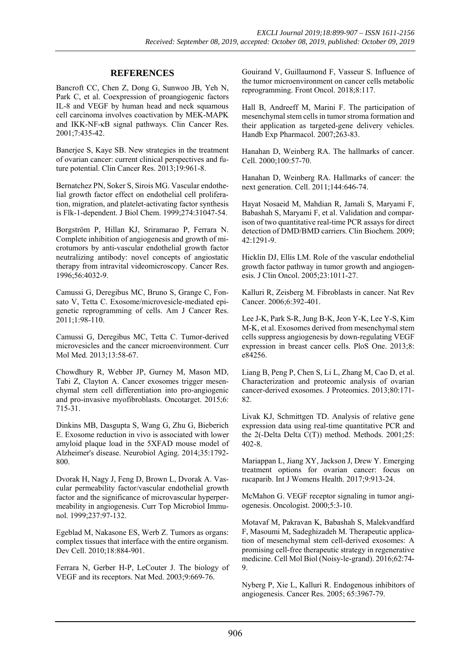#### **REFERENCES**

Bancroft CC, Chen Z, Dong G, Sunwoo JB, Yeh N, Park C, et al. Coexpression of proangiogenic factors IL-8 and VEGF by human head and neck squamous cell carcinoma involves coactivation by MEK-MAPK and IKK-NF-κB signal pathways. Clin Cancer Res. 2001;7:435-42.

Banerjee S, Kaye SB. New strategies in the treatment of ovarian cancer: current clinical perspectives and future potential. Clin Cancer Res. 2013;19:961-8.

Bernatchez PN, Soker S, Sirois MG. Vascular endothelial growth factor effect on endothelial cell proliferation, migration, and platelet-activating factor synthesis is Flk-1-dependent. J Biol Chem. 1999;274:31047-54.

Borgström P, Hillan KJ, Sriramarao P, Ferrara N. Complete inhibition of angiogenesis and growth of microtumors by anti-vascular endothelial growth factor neutralizing antibody: novel concepts of angiostatic therapy from intravital videomicroscopy. Cancer Res. 1996;56:4032-9.

Camussi G, Deregibus MC, Bruno S, Grange C, Fonsato V, Tetta C. Exosome/microvesicle-mediated epigenetic reprogramming of cells. Am J Cancer Res. 2011;1:98-110.

Camussi G, Deregibus MC, Tetta C. Tumor-derived microvesicles and the cancer microenvironment. Curr Mol Med. 2013;13:58-67.

Chowdhury R, Webber JP, Gurney M, Mason MD, Tabi Z, Clayton A. Cancer exosomes trigger mesenchymal stem cell differentiation into pro-angiogenic and pro-invasive myofibroblasts. Oncotarget. 2015;6: 715-31.

Dinkins MB, Dasgupta S, Wang G, Zhu G, Bieberich E. Exosome reduction in vivo is associated with lower amyloid plaque load in the 5XFAD mouse model of Alzheimer's disease. Neurobiol Aging. 2014;35:1792- 800.

Dvorak H, Nagy J, Feng D, Brown L, Dvorak A. Vascular permeability factor/vascular endothelial growth factor and the significance of microvascular hyperpermeability in angiogenesis. Curr Top Microbiol Immunol. 1999;237:97-132.

Egeblad M, Nakasone ES, Werb Z. Tumors as organs: complex tissues that interface with the entire organism. Dev Cell. 2010;18:884-901.

Ferrara N, Gerber H-P, LeCouter J. The biology of VEGF and its receptors. Nat Med. 2003;9:669-76.

Gouirand V, Guillaumond F, Vasseur S. Influence of the tumor microenvironment on cancer cells metabolic reprogramming. Front Oncol. 2018;8:117.

Hall B, Andreeff M, Marini F. The participation of mesenchymal stem cells in tumor stroma formation and their application as targeted-gene delivery vehicles. Handb Exp Pharmacol. 2007;263-83.

Hanahan D, Weinberg RA. The hallmarks of cancer. Cell. 2000;100:57-70.

Hanahan D, Weinberg RA. Hallmarks of cancer: the next generation. Cell. 2011;144:646-74.

Hayat Nosaeid M, Mahdian R, Jamali S, Maryami F, Babashah S, Maryami F, et al. Validation and comparison of two quantitative real-time PCR assays for direct detection of DMD/BMD carriers. Clin Biochem. 2009; 42:1291-9.

Hicklin DJ, Ellis LM. Role of the vascular endothelial growth factor pathway in tumor growth and angiogenesis. J Clin Oncol. 2005;23:1011-27.

Kalluri R, Zeisberg M. Fibroblasts in cancer. Nat Rev Cancer. 2006;6:392-401.

Lee J-K, Park S-R, Jung B-K, Jeon Y-K, Lee Y-S, Kim M-K, et al. Exosomes derived from mesenchymal stem cells suppress angiogenesis by down-regulating VEGF expression in breast cancer cells. PloS One. 2013;8: e84256.

Liang B, Peng P, Chen S, Li L, Zhang M, Cao D, et al. Characterization and proteomic analysis of ovarian cancer-derived exosomes. J Proteomics. 2013;80:171- 82.

Livak KJ, Schmittgen TD. Analysis of relative gene expression data using real-time quantitative PCR and the 2(-Delta Delta C(T)) method. Methods. 2001;25: 402-8.

Mariappan L, Jiang XY, Jackson J, Drew Y. Emerging treatment options for ovarian cancer: focus on rucaparib. Int J Womens Health. 2017;9:913-24.

McMahon G. VEGF receptor signaling in tumor angiogenesis. Oncologist. 2000;5:3-10.

Motavaf M, Pakravan K, Babashah S, Malekvandfard F, Masoumi M, Sadeghizadeh M. Therapeutic application of mesenchymal stem cell-derived exosomes: A promising cell-free therapeutic strategy in regenerative medicine. Cell Mol Biol (Noisy-le-grand). 2016;62:74- 9.

Nyberg P, Xie L, Kalluri R. Endogenous inhibitors of angiogenesis. Cancer Res. 2005; 65:3967-79.